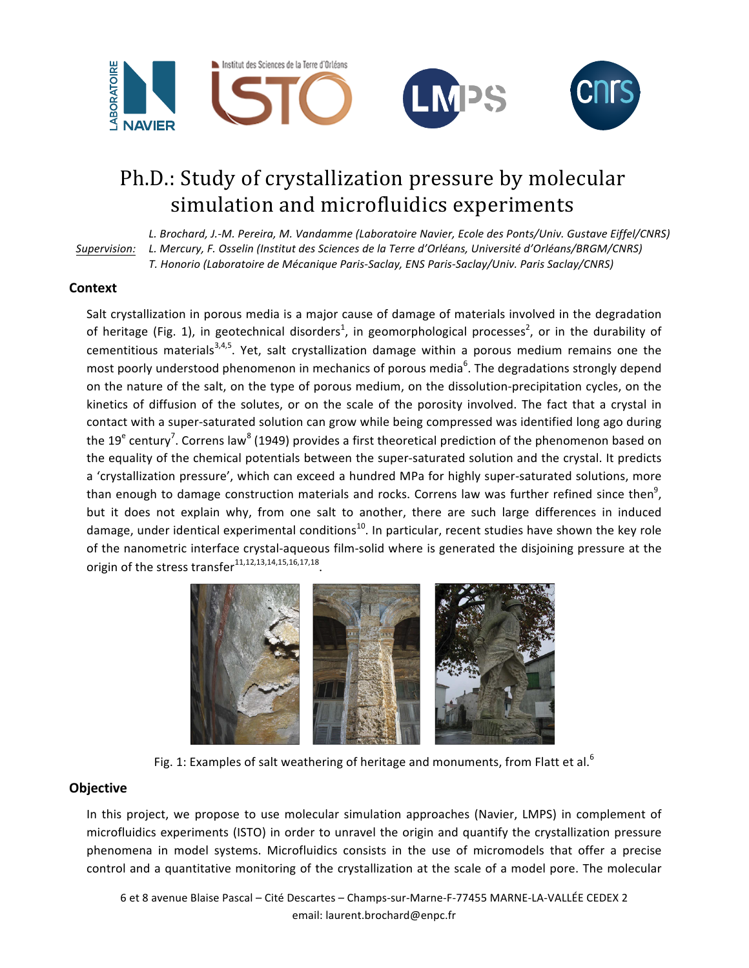

## Ph.D.: Study of crystallization pressure by molecular simulation and microfluidics experiments

*Supervision: L. Brochard, J.-M. Pereira, M. Vandamme (Laboratoire Navier, Ecole des Ponts/Univ. Gustave Eiffel/CNRS) L. Mercury, F. Osselin (Institut des Sciences de la Terre d'Orléans, Université d'Orléans/BRGM/CNRS) T. Honorio (Laboratoire de Mécanique Paris-Saclay, ENS Paris-Saclay/Univ. Paris Saclay/CNRS)*

## **Context**

Salt crystallization in porous media is a major cause of damage of materials involved in the degradation of heritage (Fig. 1), in geotechnical disorders<sup>1</sup>, in geomorphological processes<sup>2</sup>, or in the durability of cementitious materials<sup>3,4,5</sup>. Yet, salt crystallization damage within a porous medium remains one the most poorly understood phenomenon in mechanics of porous media<sup>6</sup>. The degradations strongly depend on the nature of the salt, on the type of porous medium, on the dissolution-precipitation cycles, on the kinetics of diffusion of the solutes, or on the scale of the porosity involved. The fact that a crystal in contact with a super-saturated solution can grow while being compressed was identified long ago during the 19<sup>e</sup> century<sup>7</sup>. Correns law<sup>8</sup> (1949) provides a first theoretical prediction of the phenomenon based on the equality of the chemical potentials between the super-saturated solution and the crystal. It predicts a 'crystallization pressure', which can exceed a hundred MPa for highly super-saturated solutions, more than enough to damage construction materials and rocks. Correns law was further refined since then<sup>9</sup>, but it does not explain why, from one salt to another, there are such large differences in induced damage, under identical experimental conditions<sup>10</sup>. In particular, recent studies have shown the key role of the nanometric interface crystal-aqueous film-solid where is generated the disjoining pressure at the origin of the stress transfer $11,12,13,14,15,16,17,18$ .



Fig. 1: Examples of salt weathering of heritage and monuments, from Flatt et al.<sup>6</sup>

## **Objective**

In this project, we propose to use molecular simulation approaches (Navier, LMPS) in complement of microfluidics experiments (ISTO) in order to unravel the origin and quantify the crystallization pressure phenomena in model systems. Microfluidics consists in the use of micromodels that offer a precise control and a quantitative monitoring of the crystallization at the scale of a model pore. The molecular

6 et 8 avenue Blaise Pascal - Cité Descartes - Champs-sur-Marne-F-77455 MARNE-LA-VALLÉE CEDEX 2 email: laurent.brochard@enpc.fr